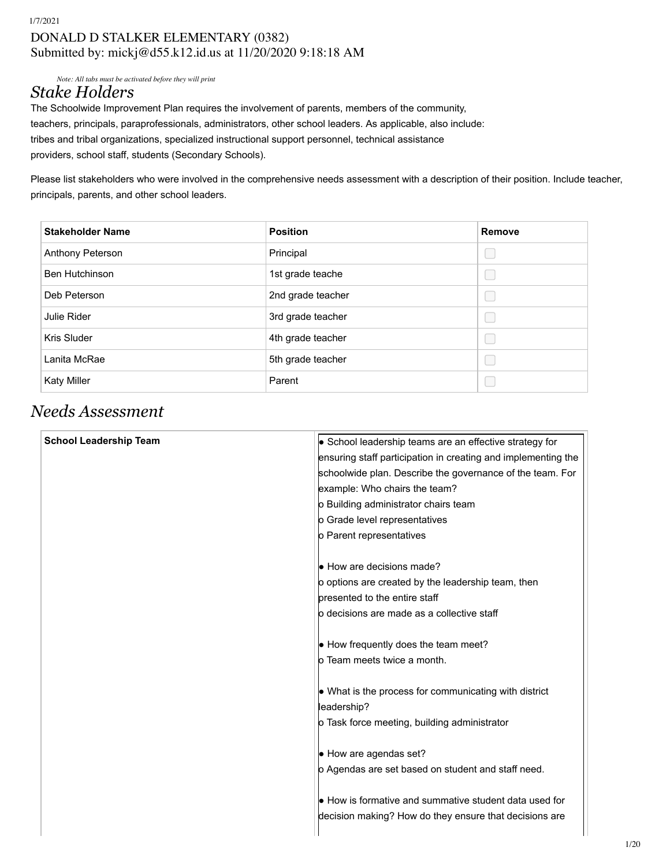# 1/7/2021 DONALD D STALKER ELEMENTARY (0382) Submitted by: mickj@d55.k12.id.us at 11/20/2020 9:18:18 AM

Note: All tabs must be activated before they will print

# **Stake Holders**

The Schoolwide Improvement Plan requires the involvement of parents, members of the community, teachers, principals, paraprofessionals, administrators, other school leaders. As applicable, also include: tribes and tribal organizations, specialized instructional support personnel, technical assistance providers, school staff, students (Secondary Schools).

Please list stakeholders who were involved in the comprehensive needs assessment with a description of their position. Include teacher, principals, parents, and other school leaders.

| <b>Stakeholder Name</b> | <b>Position</b>   | <b>Remove</b> |
|-------------------------|-------------------|---------------|
| Anthony Peterson        | Principal         |               |
| Ben Hutchinson          | 1st grade teache  |               |
| Deb Peterson            | 2nd grade teacher |               |
| Julie Rider             | 3rd grade teacher |               |
| Kris Sluder             | 4th grade teacher |               |
| Lanita McRae            | 5th grade teacher |               |
| <b>Katy Miller</b>      | Parent            |               |

# Needs Assessment

| <b>School Leadership Team</b> | • School leadership teams are an effective strategy for       |
|-------------------------------|---------------------------------------------------------------|
|                               | ensuring staff participation in creating and implementing the |
|                               | schoolwide plan. Describe the governance of the team. For     |
|                               | example: Who chairs the team?                                 |
|                               | o Building administrator chairs team                          |
|                               | o Grade level representatives                                 |
|                               | o Parent representatives                                      |
|                               |                                                               |
|                               | • How are decisions made?                                     |
|                               | o options are created by the leadership team, then            |
|                               | presented to the entire staff                                 |
|                               | lo decisions are made as a collective staff                   |
|                               |                                                               |
|                               | • How frequently does the team meet?                          |
|                               | lo Team meets twice a month.                                  |
|                               |                                                               |
|                               | • What is the process for communicating with district         |
|                               | leadership?                                                   |
|                               | <b>b</b> Task force meeting, building administrator           |
|                               |                                                               |
|                               | • How are agendas set?                                        |
|                               | o Agendas are set based on student and staff need.            |
|                               |                                                               |
|                               | • How is formative and summative student data used for        |
|                               | decision making? How do they ensure that decisions are        |
|                               |                                                               |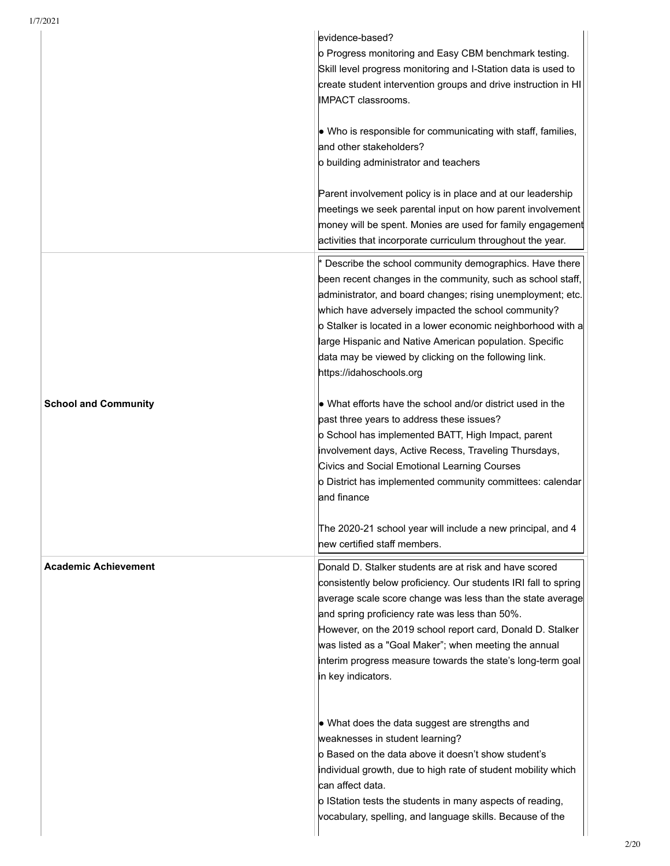| 1/7/2021                    |                                                                                                                                                                                                                                                                                                                                                                                                                                                             |
|-----------------------------|-------------------------------------------------------------------------------------------------------------------------------------------------------------------------------------------------------------------------------------------------------------------------------------------------------------------------------------------------------------------------------------------------------------------------------------------------------------|
|                             | evidence-based?<br>o Progress monitoring and Easy CBM benchmark testing.<br>Skill level progress monitoring and I-Station data is used to<br>create student intervention groups and drive instruction in HI<br>IMPACT classrooms.                                                                                                                                                                                                                           |
|                             | • Who is responsible for communicating with staff, families,<br>and other stakeholders?<br><b>b</b> building administrator and teachers                                                                                                                                                                                                                                                                                                                     |
|                             | Parent involvement policy is in place and at our leadership<br>meetings we seek parental input on how parent involvement<br>money will be spent. Monies are used for family engagement<br>activities that incorporate curriculum throughout the year.                                                                                                                                                                                                       |
|                             | Describe the school community demographics. Have there<br>been recent changes in the community, such as school staff,<br>administrator, and board changes; rising unemployment; etc.<br>which have adversely impacted the school community?<br>o Stalker is located in a lower economic neighborhood with a<br>large Hispanic and Native American population. Specific<br>data may be viewed by clicking on the following link.<br>https://idahoschools.org |
| <b>School and Community</b> | • What efforts have the school and/or district used in the<br>past three years to address these issues?<br>o School has implemented BATT, High Impact, parent<br>involvement days, Active Recess, Traveling Thursdays,<br>Civics and Social Emotional Learning Courses<br>o District has implemented community committees: calendar<br>and finance                                                                                                          |
|                             | The 2020-21 school year will include a new principal, and 4<br>hew certified staff members.                                                                                                                                                                                                                                                                                                                                                                 |
| <b>Academic Achievement</b> | Donald D. Stalker students are at risk and have scored<br>consistently below proficiency. Our students IRI fall to spring<br>average scale score change was less than the state average<br>and spring proficiency rate was less than 50%.<br>However, on the 2019 school report card, Donald D. Stalker<br>was listed as a "Goal Maker"; when meeting the annual<br>interim progress measure towards the state's long-term goal<br>in key indicators.       |
|                             | • What does the data suggest are strengths and<br>weaknesses in student learning?<br><b>b</b> Based on the data above it doesn't show student's<br>individual growth, due to high rate of student mobility which<br>can affect data.<br>o IStation tests the students in many aspects of reading,<br>vocabulary, spelling, and language skills. Because of the                                                                                              |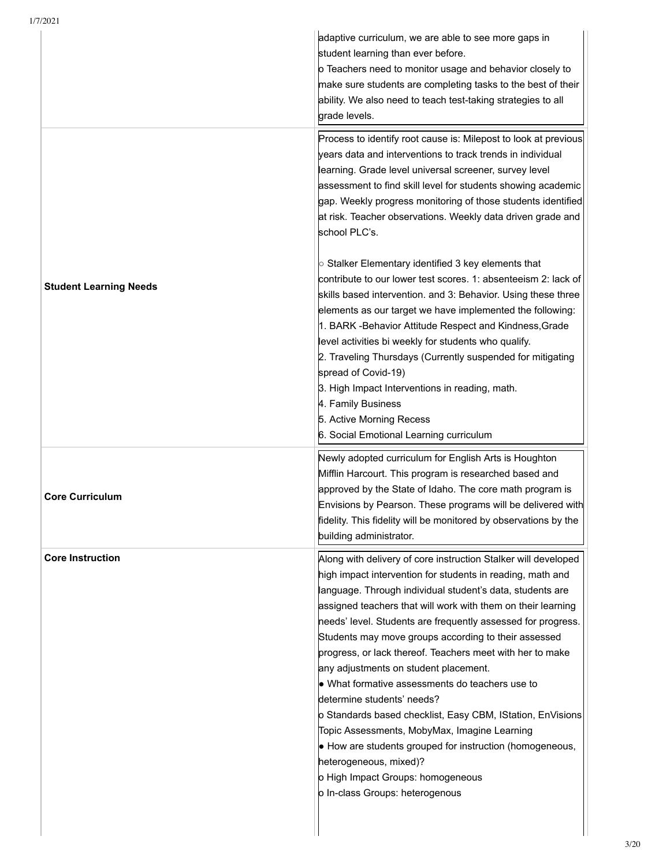| 1/7/2021                      |                                                                                                                                                                                                                                                                                                                                                                                                                                                                                                                                                                                                                                                                                                                                                                                                                                                             |
|-------------------------------|-------------------------------------------------------------------------------------------------------------------------------------------------------------------------------------------------------------------------------------------------------------------------------------------------------------------------------------------------------------------------------------------------------------------------------------------------------------------------------------------------------------------------------------------------------------------------------------------------------------------------------------------------------------------------------------------------------------------------------------------------------------------------------------------------------------------------------------------------------------|
|                               | adaptive curriculum, we are able to see more gaps in<br>student learning than ever before.<br>o Teachers need to monitor usage and behavior closely to<br>make sure students are completing tasks to the best of their<br>ability. We also need to teach test-taking strategies to all<br>grade levels.                                                                                                                                                                                                                                                                                                                                                                                                                                                                                                                                                     |
|                               | Process to identify root cause is: Milepost to look at previous<br>lyears data and interventions to track trends in individual<br>learning. Grade level universal screener, survey level<br>assessment to find skill level for students showing academic<br>gap. Weekly progress monitoring of those students identified<br>at risk. Teacher observations. Weekly data driven grade and<br>school PLC's.                                                                                                                                                                                                                                                                                                                                                                                                                                                    |
| <b>Student Learning Needs</b> | $\circ$ Stalker Elementary identified 3 key elements that<br>contribute to our lower test scores. 1: absenteeism 2: lack of<br>skills based intervention. and 3: Behavior. Using these three<br>elements as our target we have implemented the following:<br>1. BARK - Behavior Attitude Respect and Kindness, Grade<br>level activities bi weekly for students who qualify.<br>2. Traveling Thursdays (Currently suspended for mitigating<br>spread of Covid-19)<br>3. High Impact Interventions in reading, math.<br>4. Family Business<br>5. Active Morning Recess<br>6. Social Emotional Learning curriculum                                                                                                                                                                                                                                            |
| <b>Core Curriculum</b>        | Newly adopted curriculum for English Arts is Houghton<br>Mifflin Harcourt. This program is researched based and<br>approved by the State of Idaho. The core math program is<br>Envisions by Pearson. These programs will be delivered with<br>fidelity. This fidelity will be monitored by observations by the<br>building administrator.                                                                                                                                                                                                                                                                                                                                                                                                                                                                                                                   |
| <b>Core Instruction</b>       | Along with delivery of core instruction Stalker will developed<br>high impact intervention for students in reading, math and<br>language. Through individual student's data, students are<br>assigned teachers that will work with them on their learning<br>needs' level. Students are frequently assessed for progress.<br>Students may move groups according to their assessed<br>progress, or lack thereof. Teachers meet with her to make<br>any adjustments on student placement.<br>• What formative assessments do teachers use to<br>determine students' needs?<br>p Standards based checklist, Easy CBM, IStation, EnVisions<br>Topic Assessments, MobyMax, Imagine Learning<br>• How are students grouped for instruction (homogeneous,<br>heterogeneous, mixed)?<br><b>b</b> High Impact Groups: homogeneous<br>o In-class Groups: heterogenous |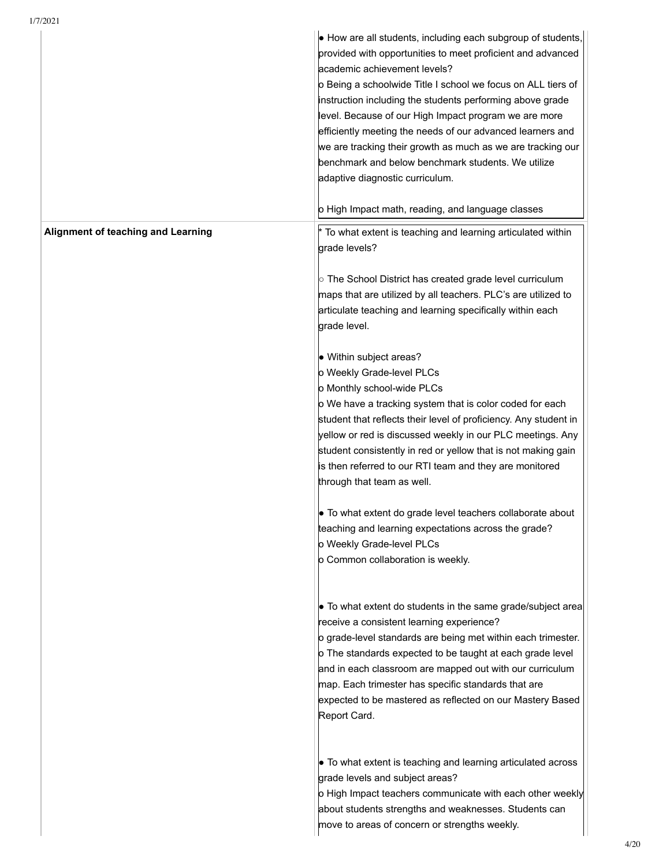| 1/7/2021                                  |                                                                                                                                                             |
|-------------------------------------------|-------------------------------------------------------------------------------------------------------------------------------------------------------------|
|                                           | • How are all students, including each subgroup of students,<br>provided with opportunities to meet proficient and advanced<br>academic achievement levels? |
|                                           | o Being a schoolwide Title I school we focus on ALL tiers of                                                                                                |
|                                           | instruction including the students performing above grade                                                                                                   |
|                                           | level. Because of our High Impact program we are more                                                                                                       |
|                                           |                                                                                                                                                             |
|                                           | efficiently meeting the needs of our advanced learners and                                                                                                  |
|                                           | we are tracking their growth as much as we are tracking our                                                                                                 |
|                                           | benchmark and below benchmark students. We utilize                                                                                                          |
|                                           | adaptive diagnostic curriculum.                                                                                                                             |
|                                           | o High Impact math, reading, and language classes                                                                                                           |
| <b>Alignment of teaching and Learning</b> | To what extent is teaching and learning articulated within                                                                                                  |
|                                           | grade levels?                                                                                                                                               |
|                                           |                                                                                                                                                             |
|                                           | $\circ$ The School District has created grade level curriculum                                                                                              |
|                                           | maps that are utilized by all teachers. PLC's are utilized to                                                                                               |
|                                           | articulate teaching and learning specifically within each                                                                                                   |
|                                           | grade level.                                                                                                                                                |
|                                           |                                                                                                                                                             |
|                                           | • Within subject areas?                                                                                                                                     |
|                                           | o Weekly Grade-level PLCs                                                                                                                                   |
|                                           | o Monthly school-wide PLCs                                                                                                                                  |
|                                           | o We have a tracking system that is color coded for each                                                                                                    |
|                                           | student that reflects their level of proficiency. Any student in                                                                                            |
|                                           | yellow or red is discussed weekly in our PLC meetings. Any                                                                                                  |
|                                           | student consistently in red or yellow that is not making gain                                                                                               |
|                                           | is then referred to our RTI team and they are monitored                                                                                                     |
|                                           |                                                                                                                                                             |
|                                           | through that team as well.                                                                                                                                  |
|                                           | • To what extent do grade level teachers collaborate about                                                                                                  |
|                                           | teaching and learning expectations across the grade?                                                                                                        |
|                                           | o Weekly Grade-level PLCs                                                                                                                                   |
|                                           | o Common collaboration is weekly.                                                                                                                           |
|                                           |                                                                                                                                                             |
|                                           |                                                                                                                                                             |
|                                           | $\bullet$ To what extent do students in the same grade/subject area                                                                                         |
|                                           | receive a consistent learning experience?                                                                                                                   |
|                                           | o grade-level standards are being met within each trimester.                                                                                                |
|                                           | o The standards expected to be taught at each grade level                                                                                                   |
|                                           | and in each classroom are mapped out with our curriculum                                                                                                    |
|                                           | map. Each trimester has specific standards that are                                                                                                         |
|                                           | expected to be mastered as reflected on our Mastery Based                                                                                                   |
|                                           | Report Card.                                                                                                                                                |
|                                           |                                                                                                                                                             |
|                                           |                                                                                                                                                             |
|                                           | • To what extent is teaching and learning articulated across                                                                                                |
|                                           | grade levels and subject areas?                                                                                                                             |
|                                           | o High Impact teachers communicate with each other weekly                                                                                                   |
|                                           | about students strengths and weaknesses. Students can                                                                                                       |
|                                           | move to areas of concern or strengths weekly.                                                                                                               |
|                                           |                                                                                                                                                             |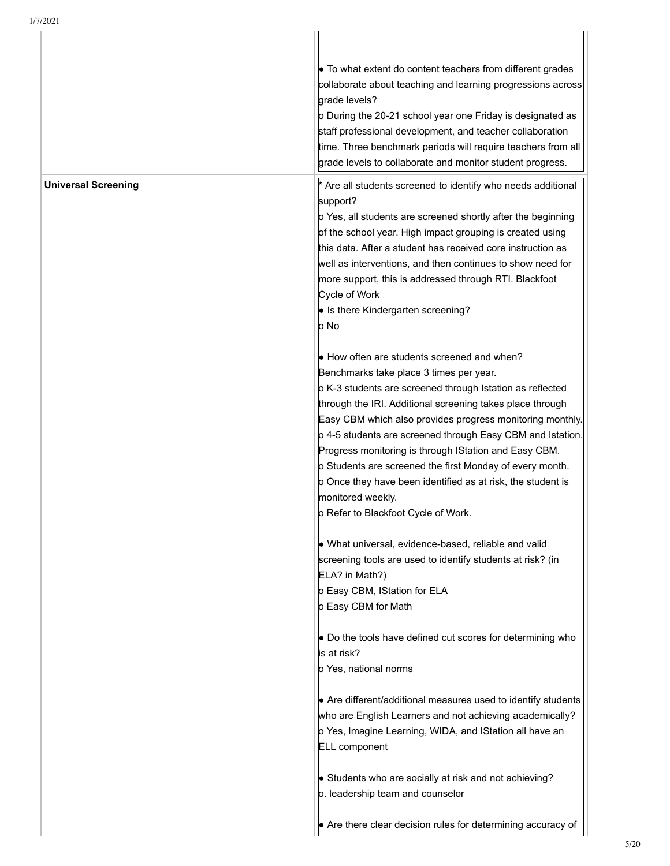| 1/7/2021                   |                                                                                                                                                                                                                                                                                                                                                                                                                                                                                                                                                                                             |
|----------------------------|---------------------------------------------------------------------------------------------------------------------------------------------------------------------------------------------------------------------------------------------------------------------------------------------------------------------------------------------------------------------------------------------------------------------------------------------------------------------------------------------------------------------------------------------------------------------------------------------|
|                            | • To what extent do content teachers from different grades<br>collaborate about teaching and learning progressions across<br>grade levels?<br>o During the 20-21 school year one Friday is designated as<br>staff professional development, and teacher collaboration<br>time. Three benchmark periods will require teachers from all<br>grade levels to collaborate and monitor student progress.                                                                                                                                                                                          |
| <b>Universal Screening</b> | $*$ Are all students screened to identify who needs additional<br>support?<br>o Yes, all students are screened shortly after the beginning<br>of the school year. High impact grouping is created using<br>this data. After a student has received core instruction as<br>well as interventions, and then continues to show need for<br>more support, this is addressed through RTI. Blackfoot<br>Cycle of Work<br>• Is there Kindergarten screening?<br>lo No                                                                                                                              |
|                            | • How often are students screened and when?<br>Benchmarks take place 3 times per year.<br>o K-3 students are screened through Istation as reflected<br>through the IRI. Additional screening takes place through<br>Easy CBM which also provides progress monitoring monthly.<br>o 4-5 students are screened through Easy CBM and Istation.<br>Progress monitoring is through IStation and Easy CBM.<br>o Students are screened the first Monday of every month.<br>o Once they have been identified as at risk, the student is<br>monitored weekly.<br>o Refer to Blackfoot Cycle of Work. |
|                            | What universal, evidence-based, reliable and valid<br>screening tools are used to identify students at risk? (in<br>ELA? in Math?)<br>o Easy CBM, IStation for ELA<br>o Easy CBM for Math<br>• Do the tools have defined cut scores for determining who<br>is at risk?<br>o Yes, national norms                                                                                                                                                                                                                                                                                             |
|                            | • Are different/additional measures used to identify students<br>who are English Learners and not achieving academically?<br>o Yes, Imagine Learning, WIDA, and IStation all have an<br><b>ELL</b> component<br>Students who are socially at risk and not achieving?<br>o. leadership team and counselor                                                                                                                                                                                                                                                                                    |
|                            | • Are there clear decision rules for determining accuracy of                                                                                                                                                                                                                                                                                                                                                                                                                                                                                                                                |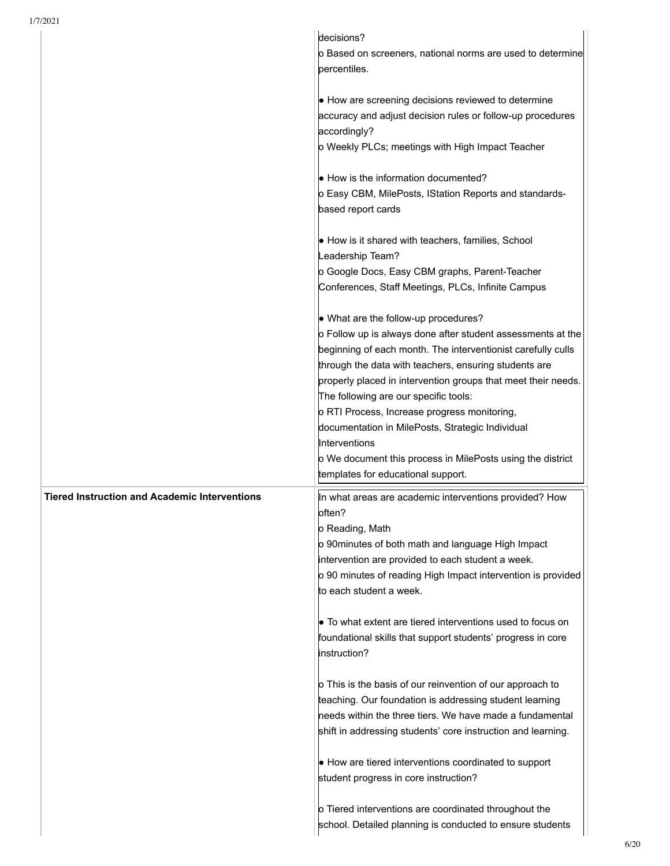| 1/7/2021                                             |                                                                                                                                                                                                                                                                                                                                                                                                                                                                                                                                                                               |
|------------------------------------------------------|-------------------------------------------------------------------------------------------------------------------------------------------------------------------------------------------------------------------------------------------------------------------------------------------------------------------------------------------------------------------------------------------------------------------------------------------------------------------------------------------------------------------------------------------------------------------------------|
|                                                      | decisions?<br>o Based on screeners, national norms are used to determine<br>bercentiles.                                                                                                                                                                                                                                                                                                                                                                                                                                                                                      |
|                                                      | • How are screening decisions reviewed to determine<br>accuracy and adjust decision rules or follow-up procedures<br>accordingly?<br><b>b Weekly PLCs; meetings with High Impact Teacher</b>                                                                                                                                                                                                                                                                                                                                                                                  |
|                                                      | • How is the information documented?<br>o Easy CBM, MilePosts, IStation Reports and standards-<br>based report cards                                                                                                                                                                                                                                                                                                                                                                                                                                                          |
|                                                      | • How is it shared with teachers, families, School<br>Leadership Team?<br>o Google Docs, Easy CBM graphs, Parent-Teacher<br>Conferences, Staff Meetings, PLCs, Infinite Campus                                                                                                                                                                                                                                                                                                                                                                                                |
|                                                      | • What are the follow-up procedures?<br>o Follow up is always done after student assessments at the<br>beginning of each month. The interventionist carefully culls<br>through the data with teachers, ensuring students are<br>properly placed in intervention groups that meet their needs.<br>The following are our specific tools:<br>o RTI Process, Increase progress monitoring,<br>documentation in MilePosts, Strategic Individual<br><b>Interventions</b><br><b>b</b> We document this process in MilePosts using the district<br>templates for educational support. |
| <b>Tiered Instruction and Academic Interventions</b> | In what areas are academic interventions provided? How<br>often?<br>o Reading, Math<br>o 90 minutes of both math and language High Impact<br>intervention are provided to each student a week.<br>o 90 minutes of reading High Impact intervention is provided<br>to each student a week.                                                                                                                                                                                                                                                                                     |
|                                                      | $\bullet$ To what extent are tiered interventions used to focus on<br>foundational skills that support students' progress in core<br>instruction?                                                                                                                                                                                                                                                                                                                                                                                                                             |
|                                                      | o This is the basis of our reinvention of our approach to<br>teaching. Our foundation is addressing student learning<br>heeds within the three tiers. We have made a fundamental<br>shift in addressing students' core instruction and learning.                                                                                                                                                                                                                                                                                                                              |
|                                                      | • How are tiered interventions coordinated to support<br>student progress in core instruction?                                                                                                                                                                                                                                                                                                                                                                                                                                                                                |
|                                                      | <b>b</b> Tiered interventions are coordinated throughout the<br>school. Detailed planning is conducted to ensure students                                                                                                                                                                                                                                                                                                                                                                                                                                                     |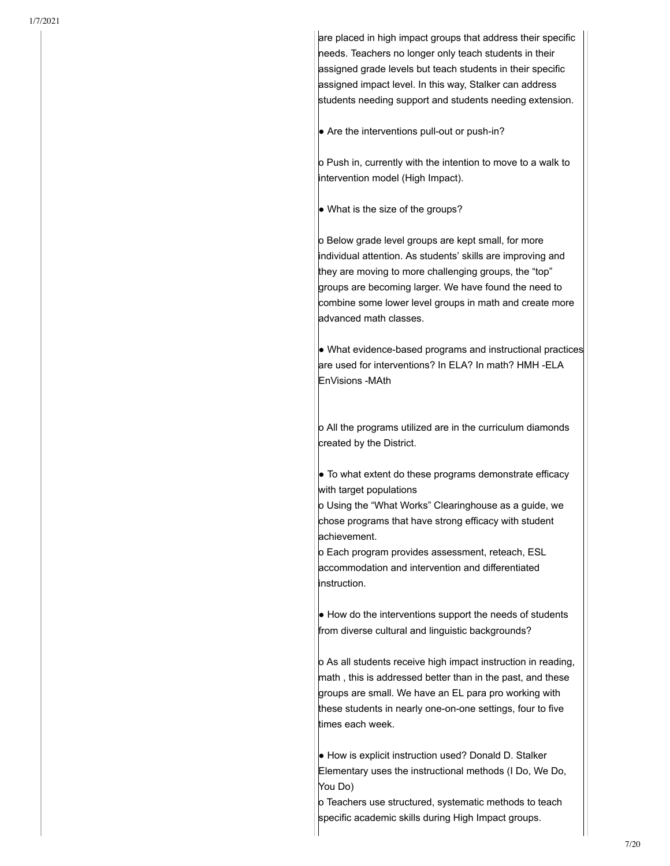are placed in high impact groups that address their specific needs. Teachers no longer only teach students in their assigned grade levels but teach students in their specific assigned impact level. In this way, Stalker can address students needing support and students needing extension.

 $\bullet$  Are the interventions pull-out or push-in?

 $\sigma$  Push in, currently with the intention to move to a walk to intervention model (High Impact).

• What is the size of the groups?

o Below grade level groups are kept small, for more individual attention. As students' skills are improving and they are moving to more challenging groups, the "top" groups are becoming larger. We have found the need to combine some lower level groups in math and create more advanced math classes.

• What evidence-based programs and instructional practices are used for interventions? In ELA? In math? HMH -ELA EnVisions -MAth

o All the programs utilized are in the curriculum diamonds created by the District.

• To what extent do these programs demonstrate efficacy with target populations

b Using the "What Works" Clearinghouse as a guide, we chose programs that have strong efficacy with student achievement.

o Each program provides assessment, reteach, ESL accommodation and intervention and differentiated **l**instruction.

 $\bullet$  How do the interventions support the needs of students from diverse cultural and linguistic backgrounds?

o As all students receive high impact instruction in reading, math, this is addressed better than in the past, and these groups are small. We have an EL para pro working with these students in nearly one-on-one settings, four to five times each week.

• How is explicit instruction used? Donald D. Stalker Elementary uses the instructional methods (I Do, We Do, You Do)

o Teachers use structured, systematic methods to teach specific academic skills during High Impact groups.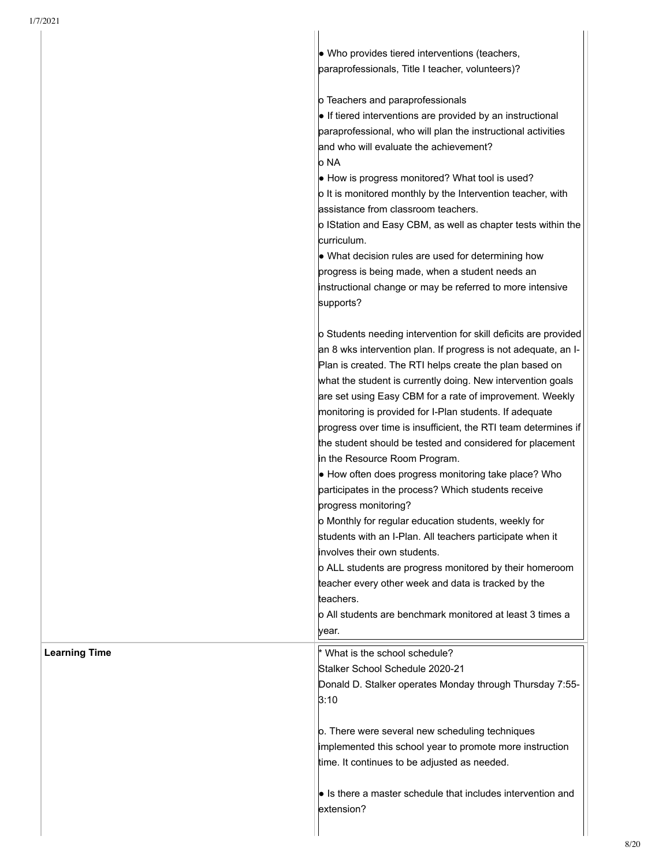**Learning Time** 

| • Who provides tiered interventions (teachers,                         |
|------------------------------------------------------------------------|
| paraprofessionals, Title I teacher, volunteers)?                       |
|                                                                        |
| o Teachers and paraprofessionals                                       |
| • If tiered interventions are provided by an instructional             |
| paraprofessional, who will plan the instructional activities           |
| and who will evaluate the achievement?                                 |
| lo NA                                                                  |
| • How is progress monitored? What tool is used?                        |
| <b>b</b> It is monitored monthly by the Intervention teacher, with     |
| assistance from classroom teachers.                                    |
| o IStation and Easy CBM, as well as chapter tests within the           |
| curriculum.                                                            |
| • What decision rules are used for determining how                     |
| progress is being made, when a student needs an                        |
| instructional change or may be referred to more intensive              |
| supports?                                                              |
|                                                                        |
| <b>b</b> Students needing intervention for skill deficits are provided |
| an 8 wks intervention plan. If progress is not adequate, an I-         |
| Plan is created. The RTI helps create the plan based on                |
| what the student is currently doing. New intervention goals            |
| are set using Easy CBM for a rate of improvement. Weekly               |
| monitoring is provided for I-Plan students. If adequate                |
| progress over time is insufficient, the RTI team determines if         |
| the student should be tested and considered for placement              |
| in the Resource Room Program.                                          |
| • How often does progress monitoring take place? Who                   |
| participates in the process? Which students receive                    |
| progress monitoring?                                                   |
| o Monthly for regular education students, weekly for                   |
| students with an I-Plan. All teachers participate when it              |
| involves their own students.                                           |
| <b>b</b> ALL students are progress monitored by their homeroom         |
| teacher every other week and data is tracked by the                    |
| teachers.                                                              |
| lo All students are benchmark monitored at least 3 times a             |
| year.                                                                  |
| * What is the school schedule?                                         |
| Stalker School Schedule 2020-21                                        |
| Donald D. Stalker operates Monday through Thursday 7:55-               |
| 3:10                                                                   |
|                                                                        |
| p. There were several new scheduling techniques                        |
| implemented this school year to promote more instruction               |
| time. It continues to be adjusted as needed.                           |
|                                                                        |
| $\bullet$ Is there a master schedule that includes intervention and    |
| extension?                                                             |
|                                                                        |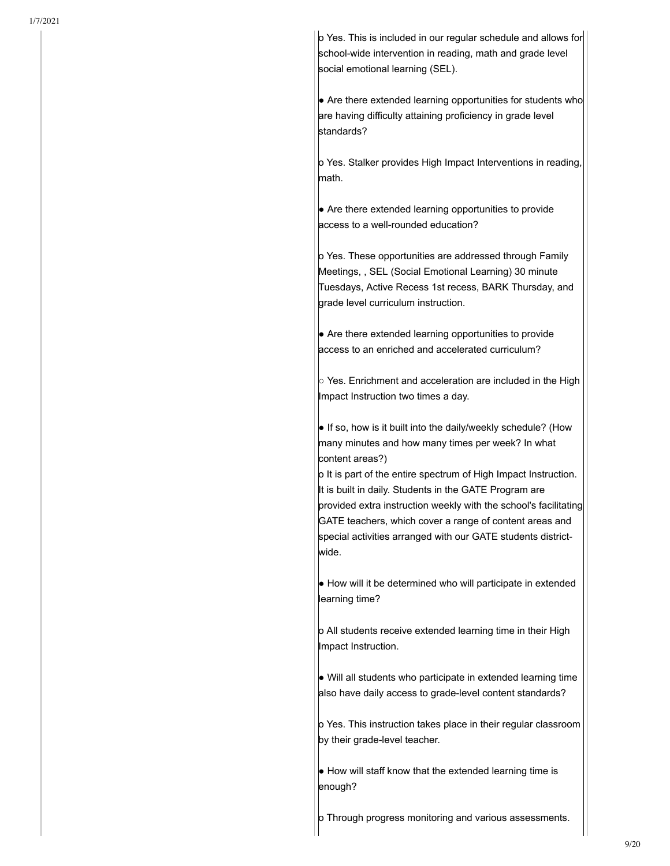o Yes. This is included in our regular schedule and allows for school-wide intervention in reading, math and grade level social emotional learning (SEL).

• Are there extended learning opportunities for students who are having difficulty attaining proficiency in grade level standards?

o Yes. Stalker provides High Impact Interventions in reading, math.

• Are there extended learning opportunities to provide access to a well-rounded education?

o Yes. These opportunities are addressed through Family Meetings, , SEL (Social Emotional Learning) 30 minute Tuesdays, Active Recess 1st recess, BARK Thursday, and grade level curriculum instruction.

 $\bullet$  Are there extended learning opportunities to provide access to an enriched and accelerated curriculum?

 $\circ$  Yes. Enrichment and acceleration are included in the High Impact Instruction two times a day.

. If so, how is it built into the daily/weekly schedule? (How many minutes and how many times per week? In what content areas?)

o It is part of the entire spectrum of High Impact Instruction. It is built in daily. Students in the GATE Program are provided extra instruction weekly with the school's facilitating GATE teachers, which cover a range of content areas and special activities arranged with our GATE students districtwide.

• How will it be determined who will participate in extended learning time?

o All students receive extended learning time in their High Impact Instruction.

• Will all students who participate in extended learning time also have daily access to grade-level content standards?

o Yes. This instruction takes place in their regular classroom by their grade-level teacher.

• How will staff know that the extended learning time is enough?

o Through progress monitoring and various assessments.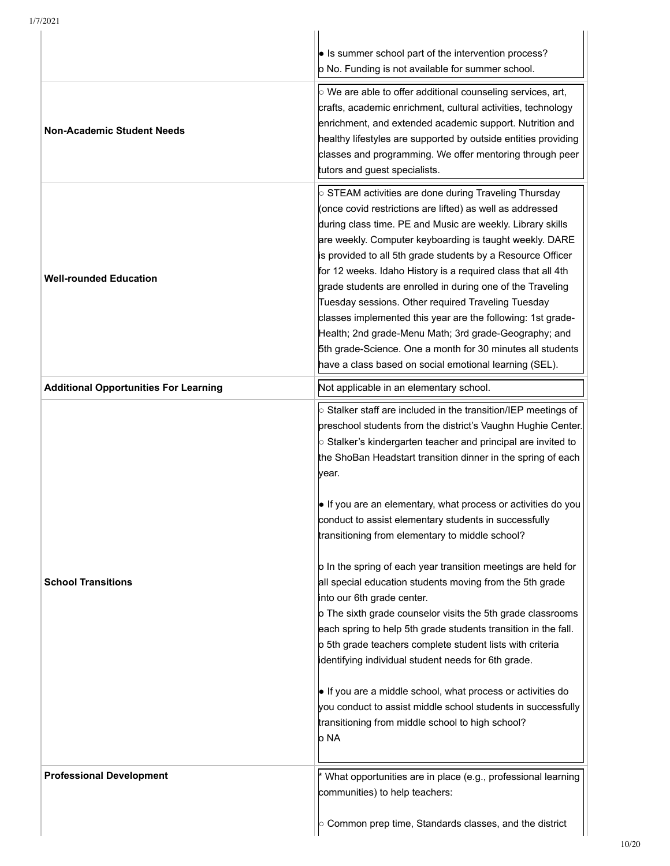|                                              | • Is summer school part of the intervention process?<br>o No. Funding is not available for summer school.                                                                                                                                                                                                                                                                                                                                                                                                                                                                                                                                                                                                                                                                                                                                                                                                                                                                                                                                                                     |
|----------------------------------------------|-------------------------------------------------------------------------------------------------------------------------------------------------------------------------------------------------------------------------------------------------------------------------------------------------------------------------------------------------------------------------------------------------------------------------------------------------------------------------------------------------------------------------------------------------------------------------------------------------------------------------------------------------------------------------------------------------------------------------------------------------------------------------------------------------------------------------------------------------------------------------------------------------------------------------------------------------------------------------------------------------------------------------------------------------------------------------------|
| <b>Non-Academic Student Needs</b>            | $\circ$ We are able to offer additional counseling services, art,<br>crafts, academic enrichment, cultural activities, technology<br>enrichment, and extended academic support. Nutrition and<br>healthy lifestyles are supported by outside entities providing<br>classes and programming. We offer mentoring through peer<br>tutors and guest specialists.                                                                                                                                                                                                                                                                                                                                                                                                                                                                                                                                                                                                                                                                                                                  |
| <b>Well-rounded Education</b>                | $\circ$ STEAM activities are done during Traveling Thursday<br>(once covid restrictions are lifted) as well as addressed<br>during class time. PE and Music are weekly. Library skills<br>are weekly. Computer keyboarding is taught weekly. DARE<br>is provided to all 5th grade students by a Resource Officer<br>for 12 weeks. Idaho History is a required class that all 4th<br>grade students are enrolled in during one of the Traveling<br>Tuesday sessions. Other required Traveling Tuesday<br>classes implemented this year are the following: 1st grade-<br>Health; 2nd grade-Menu Math; 3rd grade-Geography; and<br>5th grade-Science. One a month for 30 minutes all students<br>have a class based on social emotional learning (SEL).                                                                                                                                                                                                                                                                                                                          |
| <b>Additional Opportunities For Learning</b> | Not applicable in an elementary school.                                                                                                                                                                                                                                                                                                                                                                                                                                                                                                                                                                                                                                                                                                                                                                                                                                                                                                                                                                                                                                       |
| <b>School Transitions</b>                    | $\circ$ Stalker staff are included in the transition/IEP meetings of<br>preschool students from the district's Vaughn Hughie Center.<br>$\circ$ Stalker's kindergarten teacher and principal are invited to<br>the ShoBan Headstart transition dinner in the spring of each<br>year.<br>• If you are an elementary, what process or activities do you<br>conduct to assist elementary students in successfully<br>transitioning from elementary to middle school?<br>o In the spring of each year transition meetings are held for<br>all special education students moving from the 5th grade<br>into our 6th grade center.<br>o The sixth grade counselor visits the 5th grade classrooms<br>each spring to help 5th grade students transition in the fall.<br>o 5th grade teachers complete student lists with criteria<br>identifying individual student needs for 6th grade.<br>• If you are a middle school, what process or activities do<br>you conduct to assist middle school students in successfully<br>transitioning from middle school to high school?<br>lo NA |
| <b>Professional Development</b>              | What opportunities are in place (e.g., professional learning<br>communities) to help teachers:                                                                                                                                                                                                                                                                                                                                                                                                                                                                                                                                                                                                                                                                                                                                                                                                                                                                                                                                                                                |
|                                              | $\circ$ Common prep time, Standards classes, and the district                                                                                                                                                                                                                                                                                                                                                                                                                                                                                                                                                                                                                                                                                                                                                                                                                                                                                                                                                                                                                 |

 $1/7/2021$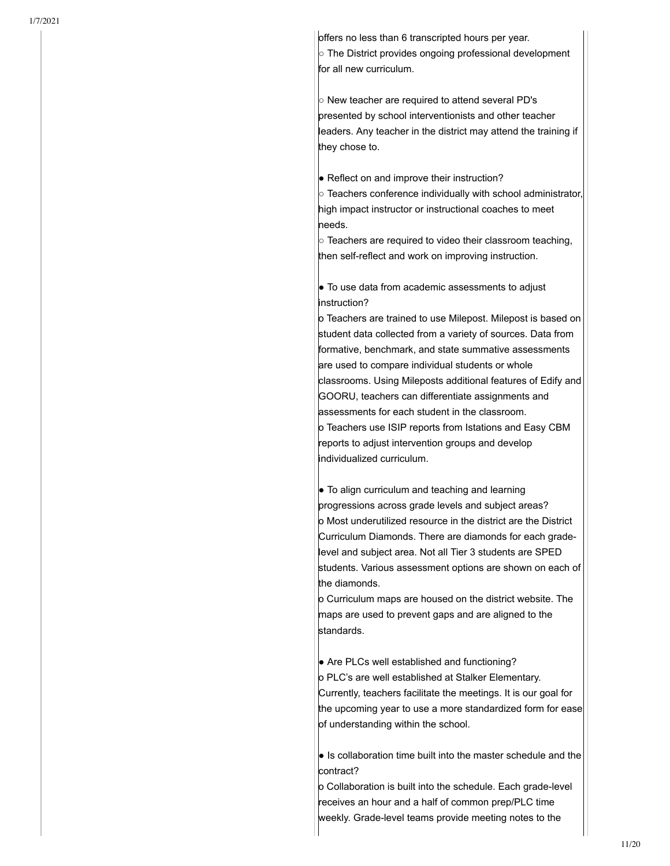offers no less than 6 transcripted hours per year.  $\circ$  The District provides ongoing professional development for all new curriculum.

 $\circ$  New teacher are required to attend several PD's presented by school interventionists and other teacher leaders. Any teacher in the district may attend the training if they chose to.

 $\bullet$  Reflect on and improve their instruction?

 $\circ$  Teachers conference individually with school administrator, high impact instructor or instructional coaches to meet heeds.

 $\circ$  Teachers are required to video their classroom teaching, then self-reflect and work on improving instruction.

• To use data from academic assessments to adjust instruction?

o Teachers are trained to use Milepost. Milepost is based on student data collected from a variety of sources. Data from formative, benchmark, and state summative assessments are used to compare individual students or whole classrooms. Using Mileposts additional features of Edify and GOORU, teachers can differentiate assignments and assessments for each student in the classroom. o Teachers use ISIP reports from Istations and Easy CBM reports to adjust intervention groups and develop individualized curriculum.

• To align curriculum and teaching and learning progressions across grade levels and subject areas? o Most underutilized resource in the district are the District Curriculum Diamonds. There are diamonds for each gradelevel and subject area. Not all Tier 3 students are SPED students. Various assessment options are shown on each of the diamonds.

o Curriculum maps are housed on the district website. The maps are used to prevent gaps and are aligned to the standards.

• Are PLCs well established and functioning? o PLC's are well established at Stalker Elementary. Currently, teachers facilitate the meetings. It is our goal for the upcoming year to use a more standardized form for ease of understanding within the school.

 $\bullet$  Is collaboration time built into the master schedule and the contract?

o Collaboration is built into the schedule. Each grade-level receives an hour and a half of common prep/PLC time weekly. Grade-level teams provide meeting notes to the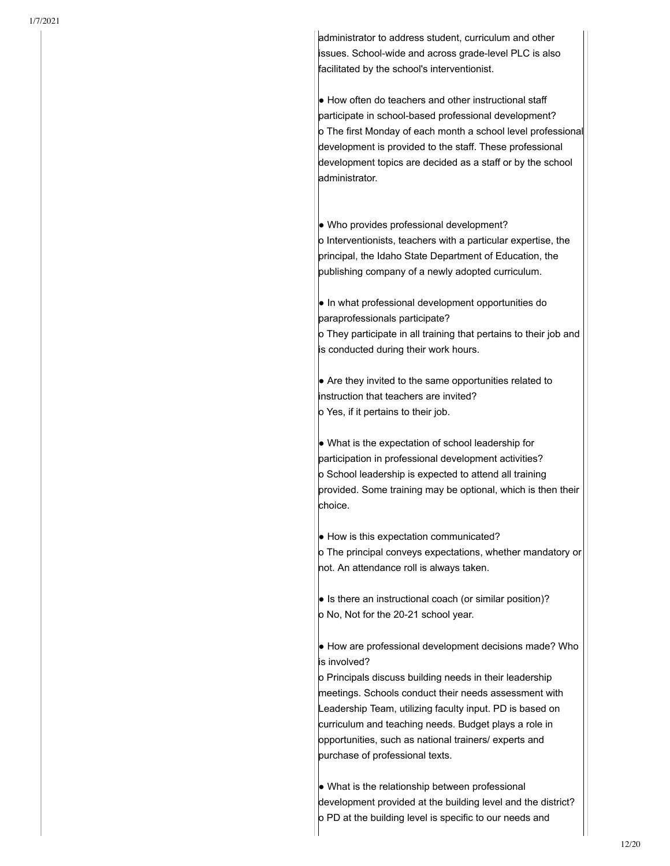administrator to address student, curriculum and other issues. School-wide and across grade-level PLC is also facilitated by the school's interventionist.

le How often do teachers and other instructional staff participate in school-based professional development? o The first Monday of each month a school level professional development is provided to the staff. These professional development topics are decided as a staff or by the school administrator.

• Who provides professional development? o Interventionists, teachers with a particular expertise, the principal, the Idaho State Department of Education, the publishing company of a newly adopted curriculum.

• In what professional development opportunities do paraprofessionals participate? o They participate in all training that pertains to their job and is conducted during their work hours.

• Are they invited to the same opportunities related to instruction that teachers are invited? **b** Yes, if it pertains to their job.

• What is the expectation of school leadership for participation in professional development activities? o School leadership is expected to attend all training provided. Some training may be optional, which is then their choice.

• How is this expectation communicated? o The principal conveys expectations, whether mandatory or not. An attendance roll is always taken.

• Is there an instructional coach (or similar position)? o No, Not for the 20-21 school year.

 $\bullet$  How are professional development decisions made? Who is involved?

o Principals discuss building needs in their leadership meetings. Schools conduct their needs assessment with Leadership Team, utilizing faculty input. PD is based on curriculum and teaching needs. Budget plays a role in opportunities, such as national trainers/ experts and purchase of professional texts.

• What is the relationship between professional development provided at the building level and the district? o PD at the building level is specific to our needs and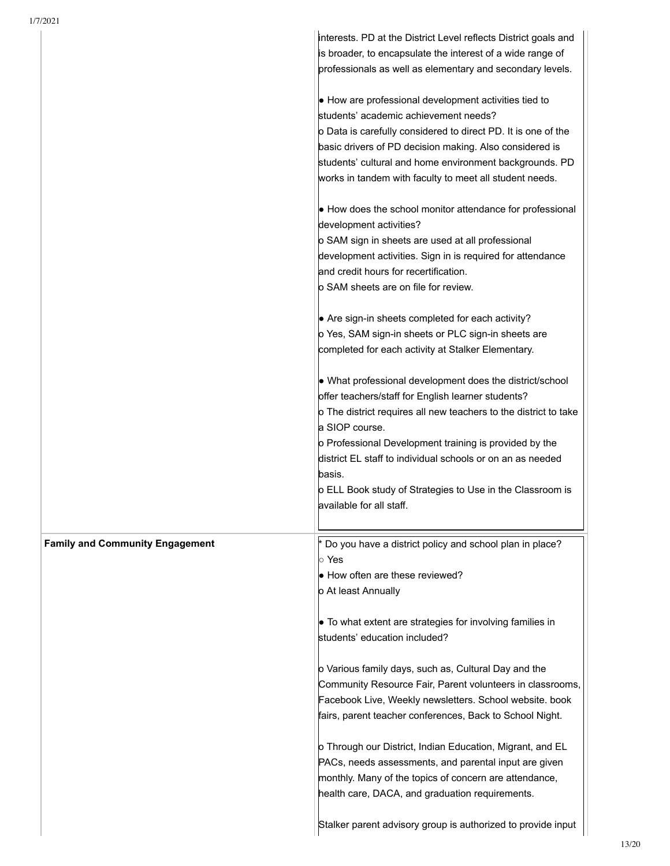|                                        | interests. PD at the District Level reflects District goals and                                                         |
|----------------------------------------|-------------------------------------------------------------------------------------------------------------------------|
|                                        | is broader, to encapsulate the interest of a wide range of<br>professionals as well as elementary and secondary levels. |
|                                        |                                                                                                                         |
|                                        | • How are professional development activities tied to                                                                   |
|                                        | students' academic achievement needs?                                                                                   |
|                                        | o Data is carefully considered to direct PD. It is one of the                                                           |
|                                        | basic drivers of PD decision making. Also considered is                                                                 |
|                                        | students' cultural and home environment backgrounds. PD                                                                 |
|                                        | works in tandem with faculty to meet all student needs.                                                                 |
|                                        | • How does the school monitor attendance for professional                                                               |
|                                        | development activities?                                                                                                 |
|                                        | o SAM sign in sheets are used at all professional                                                                       |
|                                        | development activities. Sign in is required for attendance                                                              |
|                                        | and credit hours for recertification.                                                                                   |
|                                        | <b>b</b> SAM sheets are on file for review.                                                                             |
|                                        | • Are sign-in sheets completed for each activity?                                                                       |
|                                        | o Yes, SAM sign-in sheets or PLC sign-in sheets are                                                                     |
|                                        | completed for each activity at Stalker Elementary.                                                                      |
|                                        |                                                                                                                         |
|                                        | • What professional development does the district/school                                                                |
|                                        | offer teachers/staff for English learner students?                                                                      |
|                                        | o The district requires all new teachers to the district to take                                                        |
|                                        | a SIOP course.                                                                                                          |
|                                        | o Professional Development training is provided by the                                                                  |
|                                        | district EL staff to individual schools or on an as needed<br>basis.                                                    |
|                                        | <b>p</b> ELL Book study of Strategies to Use in the Classroom is                                                        |
|                                        | available for all staff.                                                                                                |
|                                        |                                                                                                                         |
| <b>Family and Community Engagement</b> | Do you have a district policy and school plan in place?                                                                 |
|                                        |                                                                                                                         |
|                                        | ∣⊙ Yes                                                                                                                  |
|                                        | • How often are these reviewed?                                                                                         |
|                                        | o At least Annually                                                                                                     |
|                                        |                                                                                                                         |
|                                        | • To what extent are strategies for involving families in                                                               |
|                                        | students' education included?                                                                                           |
|                                        | o Various family days, such as, Cultural Day and the                                                                    |
|                                        | Community Resource Fair, Parent volunteers in classrooms,                                                               |
|                                        | Facebook Live, Weekly newsletters. School website. book                                                                 |
|                                        | fairs, parent teacher conferences, Back to School Night.                                                                |
|                                        |                                                                                                                         |
|                                        | o Through our District, Indian Education, Migrant, and EL                                                               |
|                                        | PACs, needs assessments, and parental input are given<br>monthly. Many of the topics of concern are attendance,         |
|                                        | health care, DACA, and graduation requirements.                                                                         |
|                                        | Stalker parent advisory group is authorized to provide input                                                            |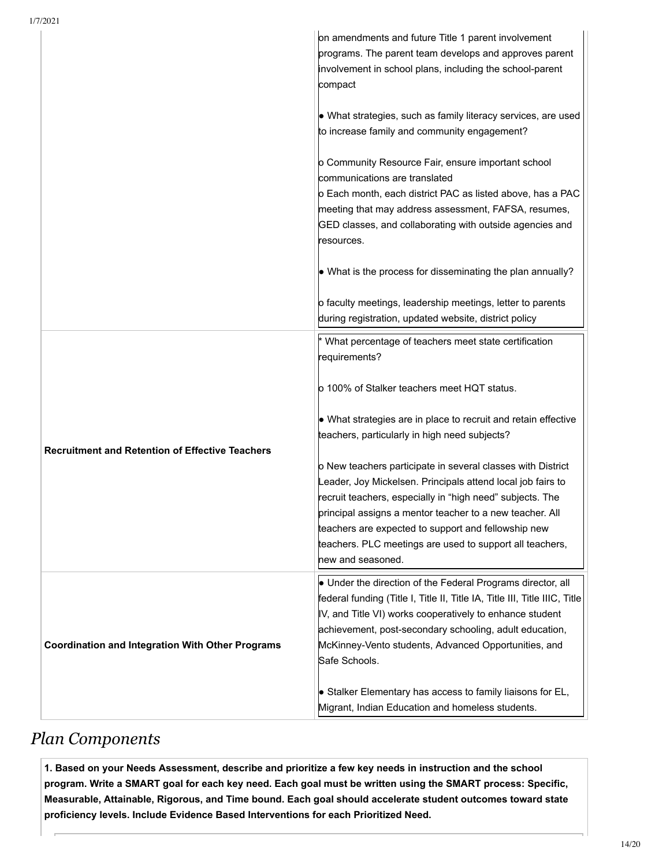| 1/7/2021                                                |                                                                                                                                                                                                                                                                                                                                                                                             |
|---------------------------------------------------------|---------------------------------------------------------------------------------------------------------------------------------------------------------------------------------------------------------------------------------------------------------------------------------------------------------------------------------------------------------------------------------------------|
|                                                         | on amendments and future Title 1 parent involvement<br>programs. The parent team develops and approves parent<br>involvement in school plans, including the school-parent<br>compact                                                                                                                                                                                                        |
|                                                         | • What strategies, such as family literacy services, are used<br>to increase family and community engagement?                                                                                                                                                                                                                                                                               |
|                                                         | o Community Resource Fair, ensure important school<br>communications are translated<br>o Each month, each district PAC as listed above, has a PAC<br>meeting that may address assessment, FAFSA, resumes,<br>GED classes, and collaborating with outside agencies and<br>resources.                                                                                                         |
|                                                         | $\bullet$ What is the process for disseminating the plan annually?<br>o faculty meetings, leadership meetings, letter to parents                                                                                                                                                                                                                                                            |
|                                                         | during registration, updated website, district policy<br>* What percentage of teachers meet state certification                                                                                                                                                                                                                                                                             |
|                                                         | requirements?                                                                                                                                                                                                                                                                                                                                                                               |
|                                                         | <b>b</b> 100% of Stalker teachers meet HQT status.                                                                                                                                                                                                                                                                                                                                          |
| <b>Recruitment and Retention of Effective Teachers</b>  | • What strategies are in place to recruit and retain effective<br>teachers, particularly in high need subjects?                                                                                                                                                                                                                                                                             |
|                                                         | o New teachers participate in several classes with District<br>Leader, Joy Mickelsen. Principals attend local job fairs to<br>recruit teachers, especially in "high need" subjects. The<br>principal assigns a mentor teacher to a new teacher. All<br>teachers are expected to support and fellowship new<br>teachers. PLC meetings are used to support all teachers,<br>hew and seasoned. |
| <b>Coordination and Integration With Other Programs</b> | Under the direction of the Federal Programs director, all<br>federal funding (Title I, Title II, Title IA, Title III, Title IIIC, Title<br>IV, and Title VI) works cooperatively to enhance student<br>achievement, post-secondary schooling, adult education,<br>McKinney-Vento students, Advanced Opportunities, and<br>Safe Schools.                                                     |
|                                                         | Stalker Elementary has access to family liaisons for EL,<br>Migrant, Indian Education and homeless students.                                                                                                                                                                                                                                                                                |

# **Plan Components**

1. Based on your Needs Assessment, describe and prioritize a few key needs in instruction and the school program. Write a SMART goal for each key need. Each goal must be written using the SMART process: Specific, Measurable, Attainable, Rigorous, and Time bound. Each goal should accelerate student outcomes toward state proficiency levels. Include Evidence Based Interventions for each Prioritized Need.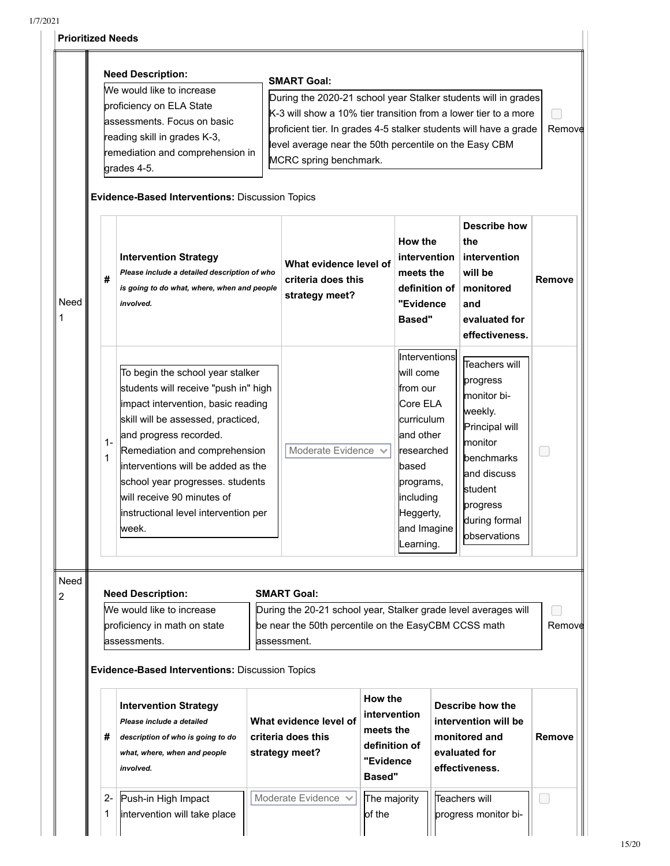## **Prioritized Needs**

T

|           | <b>Need Description:</b>                                                                                                                         |                                                                                                                                                                         |                                                                                                                                                                                                                                                                                                                                                                           |                                                                                                                                         |                                                                                                                                                                                                                                                                                                                  |                                                                                            |                                                                                                                                                                                          |                                                                                                                     |                                                                                                                                                                               |  |
|-----------|--------------------------------------------------------------------------------------------------------------------------------------------------|-------------------------------------------------------------------------------------------------------------------------------------------------------------------------|---------------------------------------------------------------------------------------------------------------------------------------------------------------------------------------------------------------------------------------------------------------------------------------------------------------------------------------------------------------------------|-----------------------------------------------------------------------------------------------------------------------------------------|------------------------------------------------------------------------------------------------------------------------------------------------------------------------------------------------------------------------------------------------------------------------------------------------------------------|--------------------------------------------------------------------------------------------|------------------------------------------------------------------------------------------------------------------------------------------------------------------------------------------|---------------------------------------------------------------------------------------------------------------------|-------------------------------------------------------------------------------------------------------------------------------------------------------------------------------|--|
|           |                                                                                                                                                  | We would like to increase<br>proficiency on ELA State<br>assessments. Focus on basic<br>reading skill in grades K-3,<br>remediation and comprehension in<br>grades 4-5. |                                                                                                                                                                                                                                                                                                                                                                           |                                                                                                                                         | <b>SMART Goal:</b><br>During the 2020-21 school year Stalker students will in grades<br>K-3 will show a 10% tier transition from a lower tier to a more<br>proficient tier. In grades 4-5 stalker students will have a grade<br>level average near the 50th percentile on the Easy CBM<br>MCRC spring benchmark. |                                                                                            |                                                                                                                                                                                          |                                                                                                                     | Remove                                                                                                                                                                        |  |
|           | <b>Evidence-Based Interventions: Discussion Topics</b>                                                                                           |                                                                                                                                                                         |                                                                                                                                                                                                                                                                                                                                                                           |                                                                                                                                         |                                                                                                                                                                                                                                                                                                                  |                                                                                            |                                                                                                                                                                                          |                                                                                                                     |                                                                                                                                                                               |  |
| Need      | <b>Intervention Strategy</b><br>Please include a detailed description of who<br>#<br>is going to do what, where, when and people<br>involved.    |                                                                                                                                                                         |                                                                                                                                                                                                                                                                                                                                                                           | What evidence level of<br>criteria does this<br>strategy meet?                                                                          |                                                                                                                                                                                                                                                                                                                  | How the<br><i>intervention</i><br>meets the<br>definition of<br>"Evidence<br><b>Based"</b> |                                                                                                                                                                                          | <b>Describe how</b><br>the<br>intervention<br>will be<br><b>monitored</b><br>and<br>evaluated for<br>effectiveness. | <b>Remove</b>                                                                                                                                                                 |  |
|           |                                                                                                                                                  | $1 -$<br>1                                                                                                                                                              | To begin the school year stalker<br>students will receive "push in" high<br>impact intervention, basic reading<br>skill will be assessed, practiced,<br>and progress recorded.<br>Remediation and comprehension<br>interventions will be added as the<br>school year progresses. students<br>will receive 90 minutes of<br>instructional level intervention per<br>lweek. |                                                                                                                                         | Moderate Evidence V                                                                                                                                                                                                                                                                                              |                                                                                            | <b>Interventions</b><br>will come<br>lfrom our<br>Core ELA<br><b>lcurriculum</b><br>land other<br>researched<br>based<br>programs,<br>including<br>Heggerty,<br>and Imagine<br>Learning. |                                                                                                                     | Teachers will<br>progress<br>monitor bi-<br>weekly.<br>Principal will<br>monitor<br>benchmarks<br>land discuss<br><b>student</b><br>progress<br>during formal<br>observations |  |
| Need<br>2 |                                                                                                                                                  |                                                                                                                                                                         | <b>Need Description:</b>                                                                                                                                                                                                                                                                                                                                                  |                                                                                                                                         | <b>SMART Goal:</b>                                                                                                                                                                                                                                                                                               |                                                                                            |                                                                                                                                                                                          |                                                                                                                     |                                                                                                                                                                               |  |
|           | We would like to increase<br>proficiency in math on state<br>lassessments.<br>Evidence-Based Interventions: Discussion Topics                    |                                                                                                                                                                         |                                                                                                                                                                                                                                                                                                                                                                           | During the 20-21 school year, Stalker grade level averages will<br>be near the 50th percentile on the EasyCBM CCSS math<br>lassessment. |                                                                                                                                                                                                                                                                                                                  |                                                                                            | Remove                                                                                                                                                                                   |                                                                                                                     |                                                                                                                                                                               |  |
|           | <b>Intervention Strategy</b><br>Please include a detailed<br>#<br>description of who is going to do<br>what, where, when and people<br>involved. |                                                                                                                                                                         | What evidence level of<br>criteria does this<br>strategy meet?                                                                                                                                                                                                                                                                                                            | How the<br>intervention<br>meets the<br>definition of<br>"Evidence<br><b>Based"</b>                                                     |                                                                                                                                                                                                                                                                                                                  |                                                                                            | Describe how the<br>intervention will be<br>monitored and<br>evaluated for<br>effectiveness.                                                                                             | Remove                                                                                                              |                                                                                                                                                                               |  |
|           |                                                                                                                                                  | 2-<br>1                                                                                                                                                                 | Push-in High Impact<br>intervention will take place                                                                                                                                                                                                                                                                                                                       |                                                                                                                                         | Moderate Evidence V                                                                                                                                                                                                                                                                                              | The majority<br>of the                                                                     |                                                                                                                                                                                          |                                                                                                                     | Teachers will<br>progress monitor bi-                                                                                                                                         |  |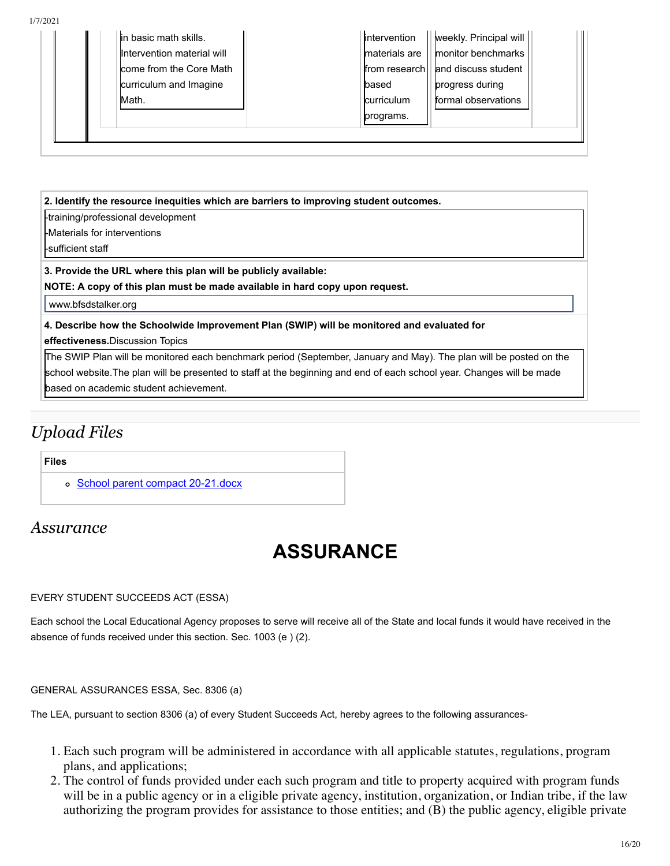| in basic math skills.      |
|----------------------------|
| Intervention material will |
| come from the Core Math    |
| curriculum and Imagine     |
| Math.                      |
|                            |

| intervention  | weekly. Principal will |  |
|---------------|------------------------|--|
|               | monitor benchmarks     |  |
| materials are |                        |  |
| from research | and discuss student    |  |
| based         | progress during        |  |
| curriculum    | formal observations    |  |
| programs.     |                        |  |

2. Identify the resource inequities which are barriers to improving student outcomes.

training/professional development

Materials for interventions

sufficient staff

#### 3. Provide the URL where this plan will be publicly available:

NOTE: A copy of this plan must be made available in hard copy upon request.

www.bfsdstalker.org

4. Describe how the Schoolwide Improvement Plan (SWIP) will be monitored and evaluated for

effectiveness. Discussion Topics

The SWIP Plan will be monitored each benchmark period (September, January and May). The plan will be posted on the school website. The plan will be presented to staff at the beginning and end of each school year. Changes will be made based on academic student achievement.

# **Upload Files**

#### **Files**

o School parent compact 20-21.docx

# Assurance

# **ASSURANCE**

#### EVERY STUDENT SUCCEEDS ACT (ESSA)

Each school the Local Educational Agency proposes to serve will receive all of the State and local funds it would have received in the absence of funds received under this section. Sec. 1003 (e) (2).

#### GENERAL ASSURANCES ESSA, Sec. 8306 (a)

The LEA, pursuant to section 8306 (a) of every Student Succeeds Act, hereby agrees to the following assurances-

- 1. Each such program will be administered in accordance with all applicable statutes, regulations, program plans, and applications;
- 2. The control of funds provided under each such program and title to property acquired with program funds will be in a public agency or in a eligible private agency, institution, organization, or Indian tribe, if the law authorizing the program provides for assistance to those entities; and (B) the public agency, eligible private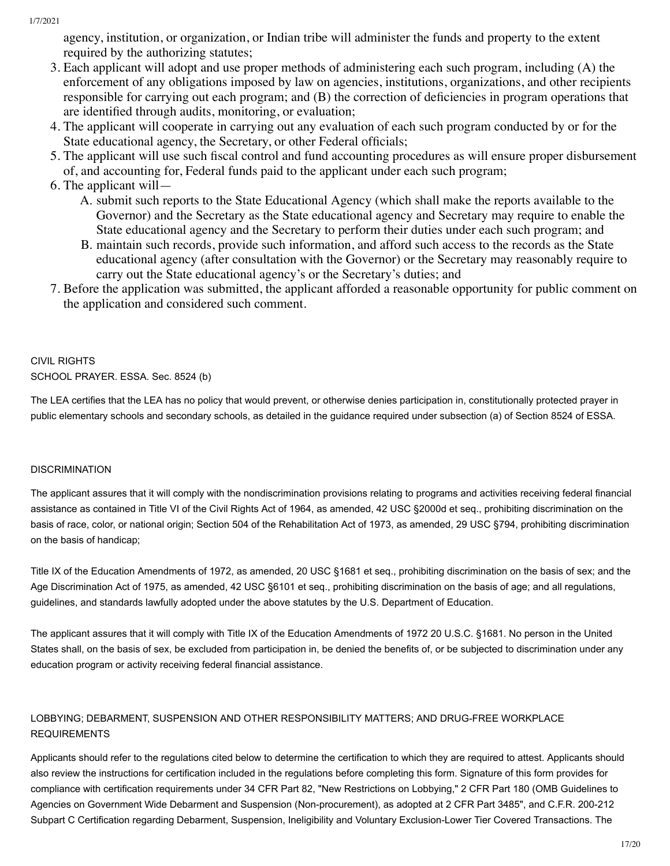agency, institution, or organization, or Indian tribe will administer the funds and property to the extent required by the authorizing statutes;

- 3. Each applicant will adopt and use proper methods of administering each such program, including (A) the enforcement of any obligations imposed by law on agencies, institutions, organizations, and other recipients responsible for carrying out each program; and (B) the correction of deficiencies in program operations that are identified through audits, monitoring, or evaluation;
- 4. The applicant will cooperate in carrying out any evaluation of each such program conducted by or for the State educational agency, the Secretary, or other Federal officials;
- 5. The applicant will use such fiscal control and fund accounting procedures as will ensure proper disbursement of, and accounting for, Federal funds paid to the applicant under each such program;
- 6. The applicant will  $-$ 
	- A. submit such reports to the State Educational Agency (which shall make the reports available to the Governor) and the Secretary as the State educational agency and Secretary may require to enable the State educational agency and the Secretary to perform their duties under each such program; and
	- B. maintain such records, provide such information, and afford such access to the records as the State educational agency (after consultation with the Governor) or the Secretary may reasonably require to carry out the State educational agency's or the Secretary's duties; and
- 7. Before the application was submitted, the applicant afforded a reasonable opportunity for public comment on the application and considered such comment.

# **CIVIL RIGHTS** SCHOOL PRAYER. ESSA. Sec. 8524 (b)

The LEA certifies that the LEA has no policy that would prevent, or otherwise denies participation in, constitutionally protected prayer in public elementary schools and secondary schools, as detailed in the guidance required under subsection (a) of Section 8524 of ESSA.

## **DISCRIMINATION**

The applicant assures that it will comply with the nondiscrimination provisions relating to programs and activities receiving federal financial assistance as contained in Title VI of the Civil Rights Act of 1964, as amended, 42 USC §2000d et seq., prohibiting discrimination on the basis of race, color, or national origin; Section 504 of the Rehabilitation Act of 1973, as amended, 29 USC §794, prohibiting discrimination on the basis of handicap;

Title IX of the Education Amendments of 1972, as amended, 20 USC §1681 et seq., prohibiting discrimination on the basis of sex; and the Age Discrimination Act of 1975, as amended, 42 USC §6101 et seq., prohibiting discrimination on the basis of age; and all regulations, guidelines, and standards lawfully adopted under the above statutes by the U.S. Department of Education.

The applicant assures that it will comply with Title IX of the Education Amendments of 1972 20 U.S.C. §1681. No person in the United States shall, on the basis of sex, be excluded from participation in, be denied the benefits of, or be subjected to discrimination under any education program or activity receiving federal financial assistance.

## LOBBYING; DEBARMENT, SUSPENSION AND OTHER RESPONSIBILITY MATTERS; AND DRUG-FREE WORKPLACE **REQUIREMENTS**

Applicants should refer to the regulations cited below to determine the certification to which they are required to attest. Applicants should also review the instructions for certification included in the regulations before completing this form. Signature of this form provides for compliance with certification requirements under 34 CFR Part 82, "New Restrictions on Lobbying," 2 CFR Part 180 (OMB Guidelines to Agencies on Government Wide Debarment and Suspension (Non-procurement), as adopted at 2 CFR Part 3485", and C.F.R. 200-212 Subpart C Certification regarding Debarment, Suspension, Ineligibility and Voluntary Exclusion-Lower Tier Covered Transactions. The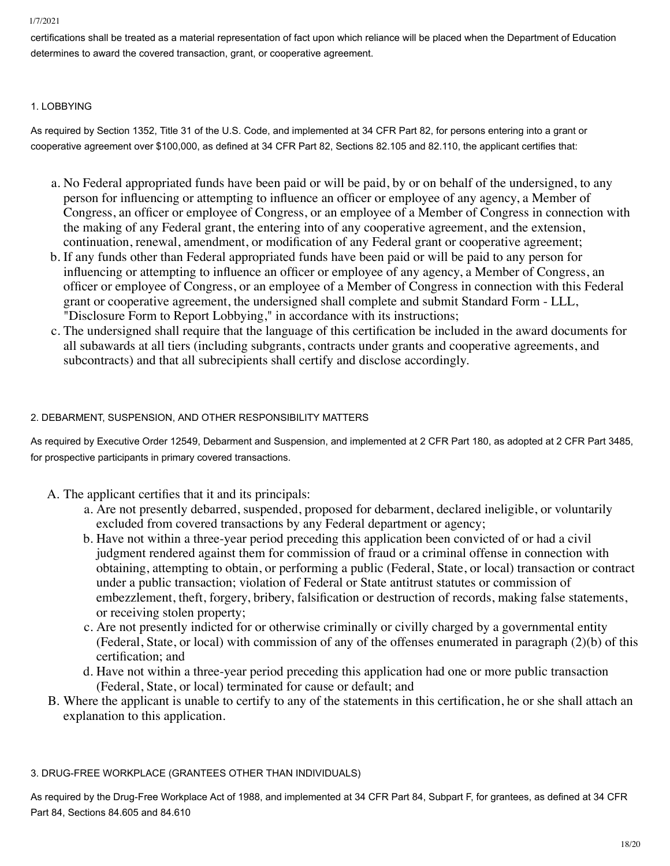#### $1/7/2021$

certifications shall be treated as a material representation of fact upon which reliance will be placed when the Department of Education determines to award the covered transaction, grant, or cooperative agreement.

#### 1. LOBBYING

As required by Section 1352, Title 31 of the U.S. Code, and implemented at 34 CFR Part 82, for persons entering into a grant or cooperative agreement over \$100,000, as defined at 34 CFR Part 82, Sections 82.105 and 82.110, the applicant certifies that:

- a. No Federal appropriated funds have been paid or will be paid, by or on behalf of the undersigned, to any person for influencing or attempting to influence an officer or employee of any agency, a Member of Congress, an officer or employee of Congress, or an employee of a Member of Congress in connection with the making of any Federal grant, the entering into of any cooperative agreement, and the extension, continuation, renewal, amendment, or modification of any Federal grant or cooperative agreement;
- b. If any funds other than Federal appropriated funds have been paid or will be paid to any person for influencing or attempting to influence an officer or employee of any agency, a Member of Congress, an officer or employee of Congress, or an employee of a Member of Congress in connection with this Federal grant or cooperative agreement, the undersigned shall complete and submit Standard Form - LLL, "Disclosure Form to Report Lobbying," in accordance with its instructions;
- c. The undersigned shall require that the language of this certification be included in the award documents for all subawards at all tiers (including subgrants, contracts under grants and cooperative agreements, and subcontracts) and that all subrecipients shall certify and disclose accordingly.

## 2. DEBARMENT, SUSPENSION, AND OTHER RESPONSIBILITY MATTERS

As required by Executive Order 12549, Debarment and Suspension, and implemented at 2 CFR Part 180, as adopted at 2 CFR Part 3485, for prospective participants in primary covered transactions.

- A. The applicant certifies that it and its principals:
	- a. Are not presently debarred, suspended, proposed for debarment, declared ineligible, or voluntarily excluded from covered transactions by any Federal department or agency;
	- b. Have not within a three-year period preceding this application been convicted of or had a civil judgment rendered against them for commission of fraud or a criminal offense in connection with obtaining, attempting to obtain, or performing a public (Federal, State, or local) transaction or contract under a public transaction; violation of Federal or State antitrust statutes or commission of embezzlement, theft, forgery, bribery, falsification or destruction of records, making false statements, or receiving stolen property;
	- c. Are not presently indicted for or otherwise criminally or civilly charged by a governmental entity (Federal, State, or local) with commission of any of the offenses enumerated in paragraph (2)(b) of this certification: and
	- d. Have not within a three-year period preceding this application had one or more public transaction (Federal, State, or local) terminated for cause or default; and
- B. Where the applicant is unable to certify to any of the statements in this certification, he or she shall attach an explanation to this application.

#### 3. DRUG-FREE WORKPLACE (GRANTEES OTHER THAN INDIVIDUALS)

As required by the Drug-Free Workplace Act of 1988, and implemented at 34 CFR Part 84, Subpart F, for grantees, as defined at 34 CFR Part 84, Sections 84.605 and 84.610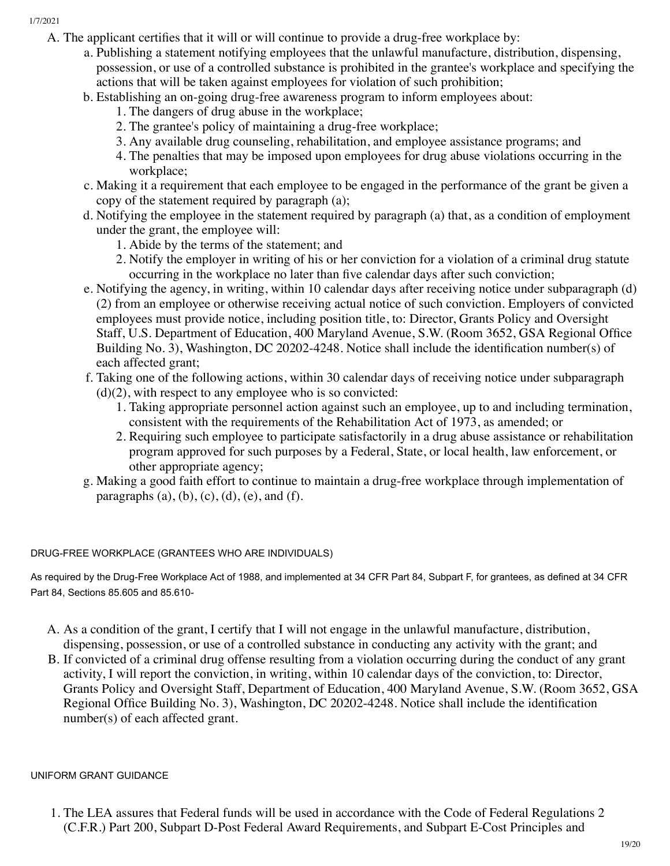1//2021

- A. The applicant certifies that it will or will continue to provide a drug-free workplace by:
	- a. Publishing a statement notifying employees that the unlawful manufacture, distribution, dispensing, possession, or use of a controlled substance is prohibited in the grantee's workplace and specifying the actions that will be taken against employees for violation of such prohibition;
	- b. Establishing an on-going drug-free awareness program to inform employees about:
		- 1. The dangers of drug abuse in the workplace;
		- 2. The grantee's policy of maintaining a drug-free workplace;
		- 3. Any available drug counseling, rehabilitation, and employee assistance programs; and
		- 4. The penalties that may be imposed upon employees for drug abuse violations occurring in the workplace;
	- c. Making it a requirement that each employee to be engaged in the performance of the grant be given a copy of the statement required by paragraph  $(a)$ ;
	- d. Notifying the employee in the statement required by paragraph (a) that, as a condition of employment under the grant, the employee will:
		- 1. Abide by the terms of the statement; and
		- 2. Notify the employer in writing of his or her conviction for a violation of a criminal drug statute occurring in the workplace no later than five calendar days after such conviction;
	- e. Notifying the agency, in writing, within 10 calendar days after receiving notice under subparagraph  $(d)$  $(2)$  from an employee or otherwise receiving actual notice of such conviction. Employers of convicted employees must provide notice, including position title, to: Director, Grants Policy and Oversight Staff, U.S. Department of Education, 400 Maryland Avenue, S.W. (Room 3652, GSA Regional Office Building No. 3), Washington, DC 20202-4248. Notice shall include the identification number(s) of each affected grant;
	- f. Taking one of the following actions, within 30 calendar days of receiving notice under subparagraph  $(d)(2)$ , with respect to any employee who is so convicted:
		- 1. Taking appropriate personnel action against such an employee, up to and including termination, consistent with the requirements of the Rehabilitation Act of 1973, as amended; or
		- 2. Requiring such employee to participate satisfactorily in a drug abuse assistance or rehabilitation program approved for such purposes by a Federal, State, or local health, law enforcement, or other appropriate agenc\;
	- g. Making a good faith effort to continue to maintain a drug-free workplace through implementation of paragraphs  $(a)$ ,  $(b)$ ,  $(c)$ ,  $(d)$ ,  $(e)$ , and  $(f)$ .

## DRUG-FREE WORKPLACE (GRANTEES WHO ARE INDIVIDUALS)

As required by the Drug-Free Workplace Act of 1988, and implemented at 34 CFR Part 84, Subpart F, for grantees, as defined at 34 CFR Part 84, Sections 85.605 and 85.610-

- A. As a condition of the grant, I certify that I will not engage in the unlawful manufacture, distribution, dispensing, possession, or use of a controlled substance in conducting any activity with the grant; and
- B. If convicted of a criminal drug offense resulting from a violation occurring during the conduct of any grant activity, I will report the conviction, in writing, within 10 calendar days of the conviction, to: Director, Grants Policy and Oversight Staff, Department of Education, 400 Maryland Avenue, S.W. (Room 3652, GSA) Regional Office Building No. 3), Washington, DC 20202-4248. Notice shall include the identification  $number(s)$  of each affected grant.

#### UNIFORM GRANT GUIDANCE

1. The LEA assures that Federal funds will be used in accordance with the Code of Federal Regulations 2 (C.F.R.) Part 200, Subpart D-Post Federal Award Requirements, and Subpart E-Cost Principles and